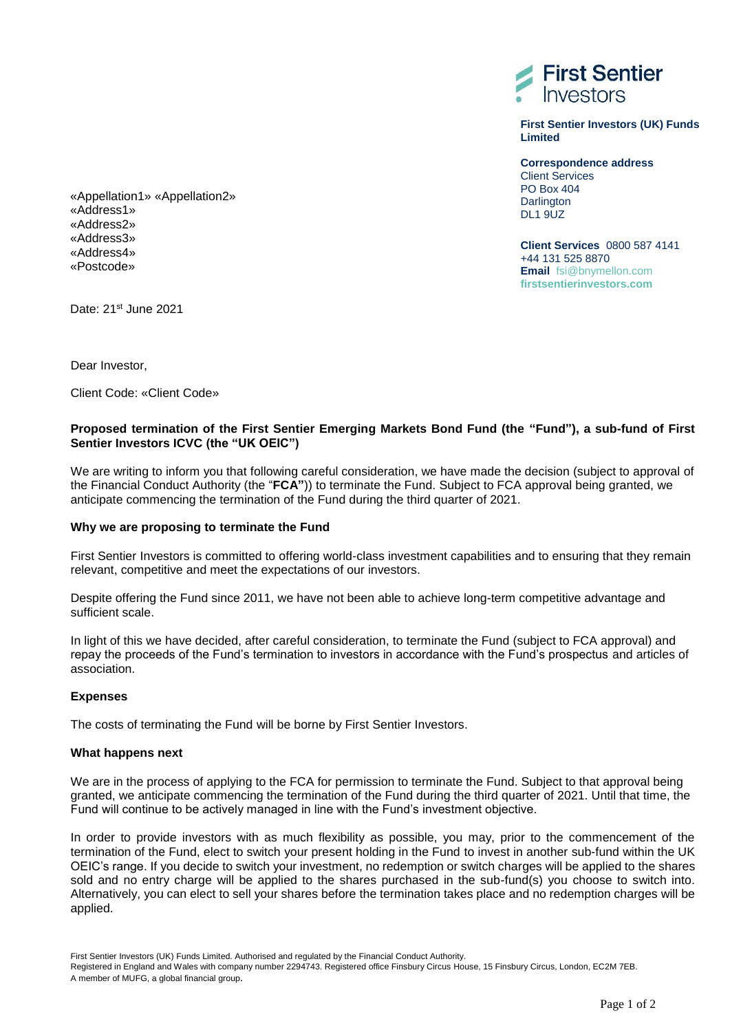

**First Sentier Investors (UK) Funds Limited**

**Correspondence address** Client Services PO Box 404 **Darlington** DL1 9UZ

**Client Services** 0800 587 4141 +44 131 525 8870 **Email** fsi@bnymellon.com **firstsentierinvestors.com** 

«Appellation1» «Appellation2» «Address1» «Address2» «Address3» «Address4» «Postcode»

Date: 21<sup>st</sup> June 2021

Dear Investor,

Client Code: «Client Code»

# **Proposed termination of the First Sentier Emerging Markets Bond Fund (the "Fund"), a sub-fund of First Sentier Investors ICVC (the "UK OEIC")**

We are writing to inform you that following careful consideration, we have made the decision (subject to approval of the Financial Conduct Authority (the "**FCA"**)) to terminate the Fund. Subject to FCA approval being granted, we anticipate commencing the termination of the Fund during the third quarter of 2021.

## **Why we are proposing to terminate the Fund**

First Sentier Investors is committed to offering world-class investment capabilities and to ensuring that they remain relevant, competitive and meet the expectations of our investors.

Despite offering the Fund since 2011, we have not been able to achieve long-term competitive advantage and sufficient scale.

In light of this we have decided, after careful consideration, to terminate the Fund (subject to FCA approval) and repay the proceeds of the Fund's termination to investors in accordance with the Fund's prospectus and articles of association.

## **Expenses**

The costs of terminating the Fund will be borne by First Sentier Investors.

## **What happens next**

We are in the process of applying to the FCA for permission to terminate the Fund. Subject to that approval being granted, we anticipate commencing the termination of the Fund during the third quarter of 2021. Until that time, the Fund will continue to be actively managed in line with the Fund's investment objective.

In order to provide investors with as much flexibility as possible, you may, prior to the commencement of the termination of the Fund, elect to switch your present holding in the Fund to invest in another sub-fund within the UK OEIC's range. If you decide to switch your investment, no redemption or switch charges will be applied to the shares sold and no entry charge will be applied to the shares purchased in the sub-fund(s) you choose to switch into. Alternatively, you can elect to sell your shares before the termination takes place and no redemption charges will be applied.

Registered in England and Wales with company number 2294743. Registered office Finsbury Circus House, 15 Finsbury Circus, London, EC2M 7EB. A member of MUFG, a global financial group.

First Sentier Investors (UK) Funds Limited. Authorised and regulated by the Financial Conduct Authority.